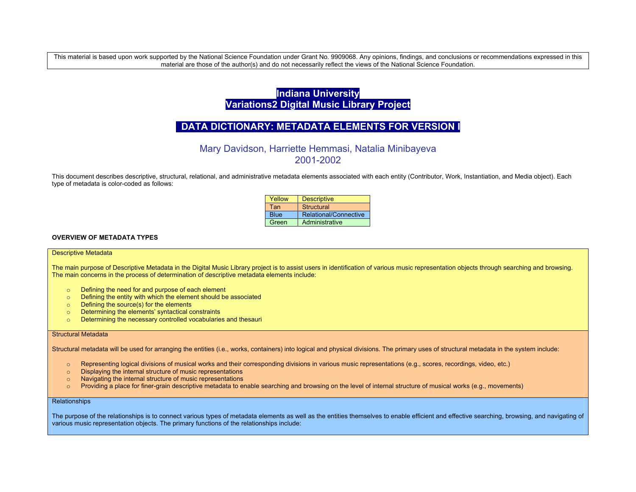This material is based upon work supported by the National Science Foundation under Grant No. 9909068. Any opinions, findings, and conclusions or recommendations expressed in this material are those of the author(s) and do not necessarily reflect the views of the National Science Foundation.

# **Indiana University Variations2 Digital Music Library Project**

## **DATA DICTIONARY: METADATA ELEMENTS FOR VERSION I**

Mary Davidson, Harriette Hemmasi, Natalia Minibayeva 2001-2002

This document describes descriptive, structural, relational, and administrative metadata elements associated with each entity (Contributor, Work, Instantiation, and Media object). Each type of metadata is color-coded as follows:

| Yellow      | <b>Descriptive</b>    |
|-------------|-----------------------|
| Tan         | Structural            |
| <b>Blue</b> | Relational/Connective |
| Green       | Administrative        |

## **OVERVIEW OF METADATA TYPES**

#### Descriptive Metadata

The main purpose of Descriptive Metadata in the Digital Music Library project is to assist users in identification of various music representation objects through searching and browsing. The main concerns in the process of determination of descriptive metadata elements include:

- <sup>o</sup> Defining the need for and purpose of each element
- <sup>o</sup> Defining the entity with which the element should be associated
- <sup>o</sup> Defining the source(s) for the elements
- <sup>o</sup> Determining the elements' syntactical constraints
- <sup>o</sup> Determining the necessary controlled vocabularies and thesauri

#### Structural Metadata

Structural metadata will be used for arranging the entities (i.e., works, containers) into logical and physical divisions. The primary uses of structural metadata in the system include:

- <sup>o</sup> Representing logical divisions of musical works and their corresponding divisions in various music representations (e.g., scores, recordings, video, etc.)
- <sup>o</sup> Displaying the internal structure of music representations
- <sup>o</sup> Navigating the internal structure of music representations
- $\circ$  Providing a place for finer-grain descriptive metadata to enable searching and browsing on the level of internal structure of musical works (e.g., movements)

### **Relationships**

The purpose of the relationships is to connect various types of metadata elements as well as the entities themselves to enable efficient and effective searching, browsing, and navigating of various music representation objects. The primary functions of the relationships include: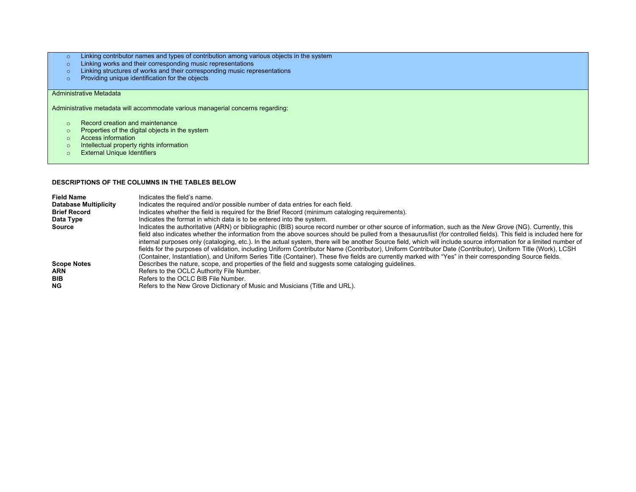- <sup>o</sup> Linking contributor names and types of contribution among various objects in the system
- <sup>o</sup> Linking works and their corresponding music representations
- <sup>o</sup> Linking structures of works and their corresponding music representations
- <sup>o</sup> Providing unique identification for the objects

## Administrative Metadata

Administrative metadata will accommodate various managerial concerns regarding:

- o Record creation and maintenance
- o Properties of the digital objects in the system
- o Access information
- <sup>o</sup> Intellectual property rights information
- <sup>o</sup> External Unique Identifiers

#### **DESCRIPTIONS OF THE COLUMNS IN THE TABLES BELOW**

| <b>Field Name</b><br><b>Database Multiplicity</b> | Indicates the field's name.<br>Indicates the required and/or possible number of data entries for each field.                                                                                                                                                                                                                                                                                                                                                                                                                                                                                                                                                                                                                                                                                                                       |
|---------------------------------------------------|------------------------------------------------------------------------------------------------------------------------------------------------------------------------------------------------------------------------------------------------------------------------------------------------------------------------------------------------------------------------------------------------------------------------------------------------------------------------------------------------------------------------------------------------------------------------------------------------------------------------------------------------------------------------------------------------------------------------------------------------------------------------------------------------------------------------------------|
| <b>Brief Record</b>                               | Indicates whether the field is required for the Brief Record (minimum cataloging requirements).                                                                                                                                                                                                                                                                                                                                                                                                                                                                                                                                                                                                                                                                                                                                    |
| Data Type                                         | Indicates the format in which data is to be entered into the system.                                                                                                                                                                                                                                                                                                                                                                                                                                                                                                                                                                                                                                                                                                                                                               |
| Source                                            | Indicates the authoritative (ARN) or bibliographic (BIB) source record number or other source of information, such as the New Grove (NG). Currently, this<br>field also indicates whether the information from the above sources should be pulled from a thesaurus/list (for controlled fields). This field is included here for<br>internal purposes only (cataloging, etc.). In the actual system, there will be another Source field, which will include source information for a limited number of<br>fields for the purposes of validation, including Uniform Contributor Name (Contributor), Uniform Contributor Date (Contributor), Uniform Title (Work), LCSH<br>(Container, Instantiation), and Uniform Series Title (Container). These five fields are currently marked with "Yes" in their corresponding Source fields. |
| <b>Scope Notes</b>                                | Describes the nature, scope, and properties of the field and suggests some cataloging guidelines.                                                                                                                                                                                                                                                                                                                                                                                                                                                                                                                                                                                                                                                                                                                                  |
| <b>ARN</b>                                        | Refers to the OCLC Authority File Number.                                                                                                                                                                                                                                                                                                                                                                                                                                                                                                                                                                                                                                                                                                                                                                                          |
| <b>BIB</b><br>NG.                                 | Refers to the OCLC BIB File Number.                                                                                                                                                                                                                                                                                                                                                                                                                                                                                                                                                                                                                                                                                                                                                                                                |
|                                                   | Refers to the New Grove Dictionary of Music and Musicians (Title and URL).                                                                                                                                                                                                                                                                                                                                                                                                                                                                                                                                                                                                                                                                                                                                                         |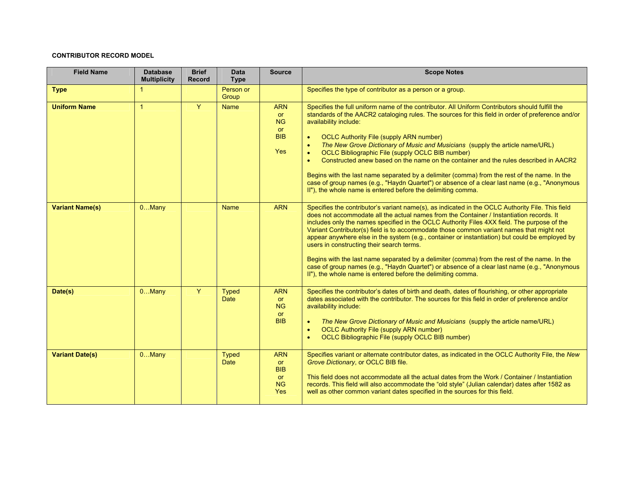## **CONTRIBUTOR RECORD MODEL**

| <b>Field Name</b>      | <b>Database</b><br><b>Multiplicity</b> | <b>Brief</b><br><b>Record</b> | <b>Data</b><br><b>Type</b>  | <b>Source</b>                                                                 | <b>Scope Notes</b>                                                                                                                                                                                                                                                                                                                                                                                                                                                                                                                                                                                                                                                                                                                                                                                                                |
|------------------------|----------------------------------------|-------------------------------|-----------------------------|-------------------------------------------------------------------------------|-----------------------------------------------------------------------------------------------------------------------------------------------------------------------------------------------------------------------------------------------------------------------------------------------------------------------------------------------------------------------------------------------------------------------------------------------------------------------------------------------------------------------------------------------------------------------------------------------------------------------------------------------------------------------------------------------------------------------------------------------------------------------------------------------------------------------------------|
| <b>Type</b>            | $\blacktriangleleft$                   |                               | Person or<br>Group          |                                                                               | Specifies the type of contributor as a person or a group.                                                                                                                                                                                                                                                                                                                                                                                                                                                                                                                                                                                                                                                                                                                                                                         |
| <b>Uniform Name</b>    | $\overline{1}$                         | Y                             | <b>Name</b>                 | <b>ARN</b><br><b>or</b><br><b>NG</b><br><b>or</b><br><b>BIB</b><br><b>Yes</b> | Specifies the full uniform name of the contributor. All Uniform Contributors should fulfill the<br>standards of the AACR2 cataloging rules. The sources for this field in order of preference and/or<br>availability include:<br><b>OCLC Authority File (supply ARN number)</b><br>$\bullet$<br>The New Grove Dictionary of Music and Musicians (supply the article name/URL)<br>$\bullet$<br>OCLC Bibliographic File (supply OCLC BIB number)<br>$\bullet$<br>Constructed anew based on the name on the container and the rules described in AACR2<br>$\bullet$<br>Begins with the last name separated by a delimiter (comma) from the rest of the name. In the<br>case of group names (e.g., "Haydn Quartet") or absence of a clear last name (e.g., "Anonymous<br>II"), the whole name is entered before the delimiting comma. |
| <b>Variant Name(s)</b> | $0$ Many                               |                               | <b>Name</b>                 | <b>ARN</b>                                                                    | Specifies the contributor's variant name(s), as indicated in the OCLC Authority File. This field<br>does not accommodate all the actual names from the Container / Instantiation records. It<br>includes only the names specified in the OCLC Authority Files 4XX field. The purpose of the<br>Variant Contributor(s) field is to accommodate those common variant names that might not<br>appear anywhere else in the system (e.g., container or instantiation) but could be employed by<br>users in constructing their search terms.<br>Begins with the last name separated by a delimiter (comma) from the rest of the name. In the<br>case of group names (e.g., "Haydn Quartet") or absence of a clear last name (e.g., "Anonymous<br>II"), the whole name is entered before the delimiting comma.                           |
| Date(s)                | $0$ Many                               | Y.                            | <b>Typed</b><br><b>Date</b> | <b>ARN</b><br><b>or</b><br><b>NG</b><br><b>or</b><br><b>BIB</b>               | Specifies the contributor's dates of birth and death, dates of flourishing, or other appropriate<br>dates associated with the contributor. The sources for this field in order of preference and/or<br>availability include:<br>The New Grove Dictionary of Music and Musicians (supply the article name/URL)<br>$\bullet$<br><b>OCLC Authority File (supply ARN number)</b><br>$\bullet$<br>OCLC Bibliographic File (supply OCLC BIB number)<br>$\bullet$                                                                                                                                                                                                                                                                                                                                                                        |
| <b>Variant Date(s)</b> | $0$ Many                               |                               | <b>Typed</b><br><b>Date</b> | <b>ARN</b><br><b>or</b><br><b>BIB</b><br><b>or</b><br><b>NG</b><br><b>Yes</b> | Specifies variant or alternate contributor dates, as indicated in the OCLC Authority File, the New<br>Grove Dictionary, or OCLC BIB file.<br>This field does not accommodate all the actual dates from the Work / Container / Instantiation<br>records. This field will also accommodate the "old style" (Julian calendar) dates after 1582 as<br>well as other common variant dates specified in the sources for this field.                                                                                                                                                                                                                                                                                                                                                                                                     |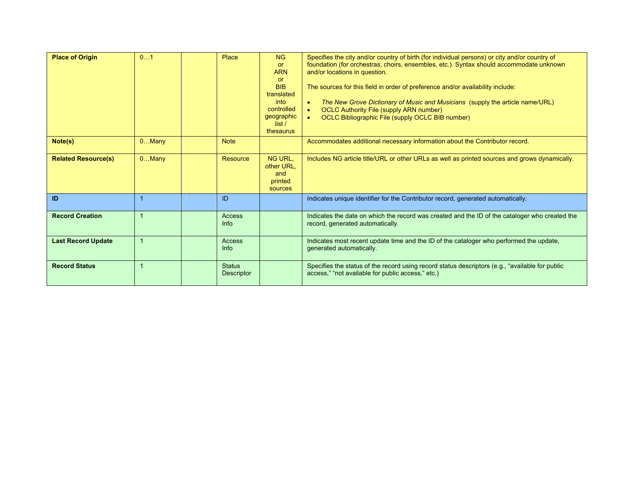| <b>Place of Origin</b>     | 01             | Place                              | N <sub>G</sub><br><b>or</b><br><b>ARN</b><br><b>or</b><br><b>BIB</b><br>translated<br>into<br>controlled<br>geographic<br>list/<br>thesaurus | Specifies the city and/or country of birth (for individual persons) or city and/or country of<br>foundation (for orchestras, choirs, ensembles, etc.). Syntax should accommodate unknown<br>and/or locations in question.<br>The sources for this field in order of preference and/or availability include:<br>The New Grove Dictionary of Music and Musicians (supply the article name/URL)<br>$\bullet$<br><b>OCLC Authority File (supply ARN number)</b><br>$\bullet$<br>OCLC Bibliographic File (supply OCLC BIB number)<br>$\bullet$ |
|----------------------------|----------------|------------------------------------|----------------------------------------------------------------------------------------------------------------------------------------------|-------------------------------------------------------------------------------------------------------------------------------------------------------------------------------------------------------------------------------------------------------------------------------------------------------------------------------------------------------------------------------------------------------------------------------------------------------------------------------------------------------------------------------------------|
| Note(s)                    | $0$ Many       | <b>Note</b>                        |                                                                                                                                              | Accommodates additional necessary information about the Contributor record.                                                                                                                                                                                                                                                                                                                                                                                                                                                               |
| <b>Related Resource(s)</b> | $0$ Many       | Resource                           | NG URL.<br>other URL.<br>and<br>printed<br>sources                                                                                           | Includes NG article title/URL or other URLs as well as printed sources and grows dynamically.                                                                                                                                                                                                                                                                                                                                                                                                                                             |
| <b>ID</b>                  |                | ID                                 |                                                                                                                                              | Indicates unique identifier for the Contributor record, generated automatically.                                                                                                                                                                                                                                                                                                                                                                                                                                                          |
| <b>Record Creation</b>     |                | Access<br>Info                     |                                                                                                                                              | Indicates the date on which the record was created and the ID of the cataloger who created the<br>record, generated automatically.                                                                                                                                                                                                                                                                                                                                                                                                        |
| <b>Last Record Update</b>  | $\overline{1}$ | <b>Access</b><br>Info              |                                                                                                                                              | Indicates most recent update time and the ID of the cataloger who performed the update,<br>generated automatically.                                                                                                                                                                                                                                                                                                                                                                                                                       |
| <b>Record Status</b>       |                | <b>Status</b><br><b>Descriptor</b> |                                                                                                                                              | Specifies the status of the record using record status descriptors (e.g., "available for public<br>access," "not available for public access," etc.)                                                                                                                                                                                                                                                                                                                                                                                      |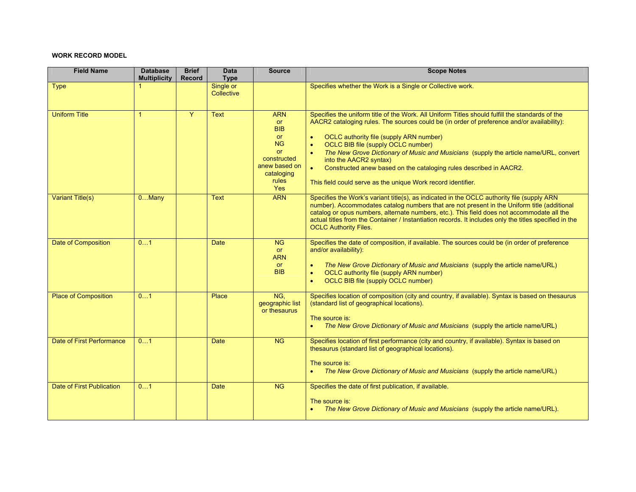## **WORK RECORD MODEL**

| <b>Field Name</b>           | <b>Database</b><br><b>Multiplicity</b> | <b>Brief</b><br><b>Record</b> | <b>Data</b><br><b>Type</b> | <b>Source</b>                                                                                                                              | <b>Scope Notes</b>                                                                                                                                                                                                                                                                                                                                                                                                                                                                                                                                                                          |
|-----------------------------|----------------------------------------|-------------------------------|----------------------------|--------------------------------------------------------------------------------------------------------------------------------------------|---------------------------------------------------------------------------------------------------------------------------------------------------------------------------------------------------------------------------------------------------------------------------------------------------------------------------------------------------------------------------------------------------------------------------------------------------------------------------------------------------------------------------------------------------------------------------------------------|
| Type                        |                                        |                               | Single or<br>Collective    |                                                                                                                                            | Specifies whether the Work is a Single or Collective work.                                                                                                                                                                                                                                                                                                                                                                                                                                                                                                                                  |
| <b>Uniform Title</b>        | $\mathbf{1}$                           | Y                             | Text                       | <b>ARN</b><br>or<br><b>BIB</b><br><b>or</b><br><b>NG</b><br><b>or</b><br>constructed<br>anew based on<br>cataloging<br>rules<br><b>Yes</b> | Specifies the uniform title of the Work. All Uniform Titles should fulfill the standards of the<br>AACR2 cataloging rules. The sources could be (in order of preference and/or availability):<br>OCLC authority file (supply ARN number)<br>$\bullet$<br>OCLC BIB file (supply OCLC number)<br>$\bullet$<br>The New Grove Dictionary of Music and Musicians (supply the article name/URL, convert<br>$\bullet$<br>into the AACR2 syntax)<br>Constructed anew based on the cataloging rules described in AACR2.<br>$\bullet$<br>This field could serve as the unique Work record identifier. |
| Variant Title(s)            | $0.$ . Many                            |                               | <b>Text</b>                | <b>ARN</b>                                                                                                                                 | Specifies the Work's variant title(s), as indicated in the OCLC authority file (supply ARN<br>number). Accommodates catalog numbers that are not present in the Uniform title (additional<br>catalog or opus numbers, alternate numbers, etc.). This field does not accommodate all the<br>actual titles from the Container / Instantiation records. It includes only the titles specified in the<br><b>OCLC Authority Files.</b>                                                                                                                                                           |
| <b>Date of Composition</b>  | 01                                     |                               | <b>Date</b>                | <b>NG</b><br>or<br><b>ARN</b><br><b>or</b><br><b>BIB</b>                                                                                   | Specifies the date of composition, if available. The sources could be (in order of preference<br>and/or availability):<br>The New Grove Dictionary of Music and Musicians (supply the article name/URL)<br>$\bullet$<br>OCLC authority file (supply ARN number)<br>$\bullet$<br>OCLC BIB file (supply OCLC number)<br>$\bullet$                                                                                                                                                                                                                                                             |
| <b>Place of Composition</b> | 01                                     |                               | Place                      | NG.<br>geographic list<br>or thesaurus                                                                                                     | Specifies location of composition (city and country, if available). Syntax is based on thesaurus<br>(standard list of geographical locations).<br>The source is:<br>The New Grove Dictionary of Music and Musicians (supply the article name/URL)<br>$\bullet$                                                                                                                                                                                                                                                                                                                              |
| Date of First Performance   | 01                                     |                               | Date                       | <b>NG</b>                                                                                                                                  | Specifies location of first performance (city and country, if available). Syntax is based on<br>thesaurus (standard list of geographical locations).<br>The source is:<br>The New Grove Dictionary of Music and Musicians (supply the article name/URL)<br>$\bullet$                                                                                                                                                                                                                                                                                                                        |
| Date of First Publication   | 01                                     |                               | Date                       | NG                                                                                                                                         | Specifies the date of first publication, if available.<br>The source is:<br>The New Grove Dictionary of Music and Musicians (supply the article name/URL).<br>$\bullet$                                                                                                                                                                                                                                                                                                                                                                                                                     |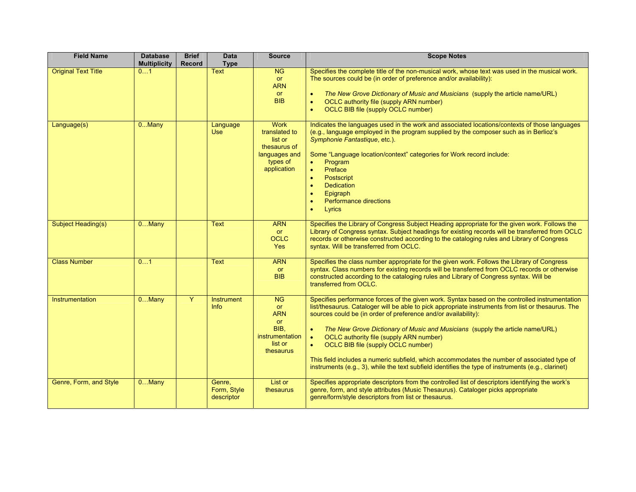| <b>Field Name</b>          | <b>Database</b><br><b>Multiplicity</b> | <b>Brief</b><br><b>Record</b> | <b>Data</b><br><b>Type</b>          | <b>Source</b>                                                                                       | <b>Scope Notes</b>                                                                                                                                                                                                                                                                                                                                                                                                                                                                                                                                                                                                                                                                   |
|----------------------------|----------------------------------------|-------------------------------|-------------------------------------|-----------------------------------------------------------------------------------------------------|--------------------------------------------------------------------------------------------------------------------------------------------------------------------------------------------------------------------------------------------------------------------------------------------------------------------------------------------------------------------------------------------------------------------------------------------------------------------------------------------------------------------------------------------------------------------------------------------------------------------------------------------------------------------------------------|
| <b>Original Text Title</b> | 01                                     |                               | <b>Text</b>                         | NG<br>or<br><b>ARN</b><br>or<br><b>BIB</b>                                                          | Specifies the complete title of the non-musical work, whose text was used in the musical work.<br>The sources could be (in order of preference and/or availability):<br>The New Grove Dictionary of Music and Musicians (supply the article name/URL)<br>$\bullet$<br>OCLC authority file (supply ARN number)<br>$\bullet$<br><b>OCLC BIB file (supply OCLC number)</b><br>$\bullet$                                                                                                                                                                                                                                                                                                 |
| Language(s)                | $0$ Many                               |                               | Language<br><b>Use</b>              | <b>Work</b><br>translated to<br>list or<br>thesaurus of<br>languages and<br>types of<br>application | Indicates the languages used in the work and associated locations/contexts of those languages<br>(e.g., language employed in the program supplied by the composer such as in Berlioz's<br>Symphonie Fantastique, etc.).<br>Some "Language location/context" categories for Work record include:<br>Program<br>$\bullet$<br>Preface<br>$\bullet$<br>Postscript<br>$\bullet$<br><b>Dedication</b><br>$\bullet$<br>Epigraph<br>$\bullet$<br>Performance directions<br>$\bullet$<br>$\bullet$<br>Lyrics                                                                                                                                                                                  |
| Subject Heading(s)         | $0$ Many                               |                               | <b>Text</b>                         | <b>ARN</b><br>or<br><b>OCLC</b><br><b>Yes</b>                                                       | Specifies the Library of Congress Subject Heading appropriate for the given work. Follows the<br>Library of Congress syntax. Subject headings for existing records will be transferred from OCLC<br>records or otherwise constructed according to the cataloging rules and Library of Congress<br>syntax. Will be transferred from OCLC.                                                                                                                                                                                                                                                                                                                                             |
| <b>Class Number</b>        | 01                                     |                               | <b>Text</b>                         | <b>ARN</b><br><b>or</b><br><b>BIB</b>                                                               | Specifies the class number appropriate for the given work. Follows the Library of Congress<br>syntax. Class numbers for existing records will be transferred from OCLC records or otherwise<br>constructed according to the cataloging rules and Library of Congress syntax. Will be<br>transferred from OCLC.                                                                                                                                                                                                                                                                                                                                                                       |
| Instrumentation            | $0$ Many                               | Y                             | <b>Instrument</b><br><b>Info</b>    | <b>NG</b><br><b>or</b><br><b>ARN</b><br>or<br>BIB.<br>instrumentation<br>list or<br>thesaurus       | Specifies performance forces of the given work. Syntax based on the controlled instrumentation<br>list/thesaurus. Cataloger will be able to pick appropriate instruments from list or thesaurus. The<br>sources could be (in order of preference and/or availability):<br>$\bullet$<br>The New Grove Dictionary of Music and Musicians (supply the article name/URL)<br>OCLC authority file (supply ARN number)<br>$\bullet$<br>OCLC BIB file (supply OCLC number)<br>$\bullet$<br>This field includes a numeric subfield, which accommodates the number of associated type of<br>instruments (e.g., 3), while the text subfield identifies the type of instruments (e.g., clarinet) |
| Genre, Form, and Style     | $0$ Many                               |                               | Genre,<br>Form, Style<br>descriptor | List or<br>thesaurus                                                                                | Specifies appropriate descriptors from the controlled list of descriptors identifying the work's<br>genre, form, and style attributes (Music Thesaurus). Cataloger picks appropriate<br>genre/form/style descriptors from list or thesaurus.                                                                                                                                                                                                                                                                                                                                                                                                                                         |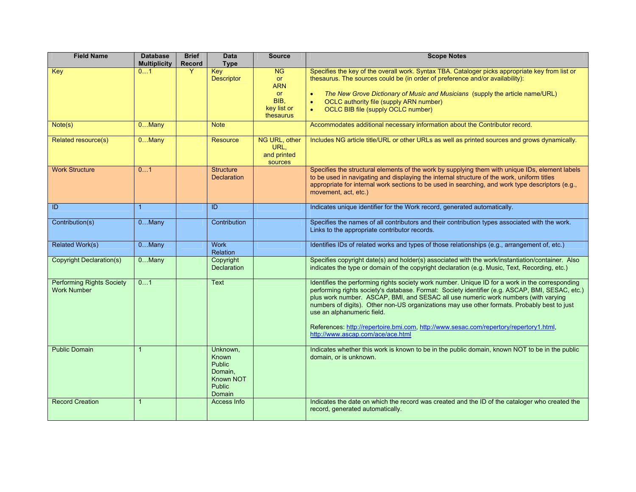| <b>Field Name</b>                                      | <b>Database</b><br><b>Multiplicity</b> | <b>Brief</b><br><b>Record</b> | <b>Data</b><br><b>Type</b>                                                                   | <b>Source</b>                                                                  | <b>Scope Notes</b>                                                                                                                                                                                                                                                                                                                                                                                                                                                                                                                                   |
|--------------------------------------------------------|----------------------------------------|-------------------------------|----------------------------------------------------------------------------------------------|--------------------------------------------------------------------------------|------------------------------------------------------------------------------------------------------------------------------------------------------------------------------------------------------------------------------------------------------------------------------------------------------------------------------------------------------------------------------------------------------------------------------------------------------------------------------------------------------------------------------------------------------|
| Key                                                    | 01                                     | Y                             | <b>Key</b><br><b>Descriptor</b>                                                              | <b>NG</b><br>or<br><b>ARN</b><br><b>or</b><br>BIB,<br>key list or<br>thesaurus | Specifies the key of the overall work. Syntax TBA. Cataloger picks appropriate key from list or<br>thesaurus. The sources could be (in order of preference and/or availability):<br>The New Grove Dictionary of Music and Musicians (supply the article name/URL)<br>$\bullet$<br>OCLC authority file (supply ARN number)<br>$\bullet$<br>OCLC BIB file (supply OCLC number)<br>$\bullet$                                                                                                                                                            |
| Note(s)                                                | $0$ Many                               |                               | <b>Note</b>                                                                                  |                                                                                | Accommodates additional necessary information about the Contributor record.                                                                                                                                                                                                                                                                                                                                                                                                                                                                          |
| Related resource(s)                                    | $0.$ Many                              |                               | <b>Resource</b>                                                                              | NG URL, other<br>URL.<br>and printed<br>sources                                | Includes NG article title/URL or other URLs as well as printed sources and grows dynamically.                                                                                                                                                                                                                                                                                                                                                                                                                                                        |
| <b>Work Structure</b>                                  | 01                                     |                               | <b>Structure</b><br><b>Declaration</b>                                                       |                                                                                | Specifies the structural elements of the work by supplying them with unique IDs, element labels<br>to be used in navigating and displaying the internal structure of the work, uniform titles<br>appropriate for internal work sections to be used in searching, and work type descriptors (e.g.,<br>movement, act, etc.)                                                                                                                                                                                                                            |
| ID                                                     |                                        |                               | ID                                                                                           |                                                                                | Indicates unique identifier for the Work record, generated automatically.                                                                                                                                                                                                                                                                                                                                                                                                                                                                            |
| Contribution(s)                                        | $0$ Many                               |                               | Contribution                                                                                 |                                                                                | Specifies the names of all contributors and their contribution types associated with the work.<br>Links to the appropriate contributor records.                                                                                                                                                                                                                                                                                                                                                                                                      |
| <b>Related Work(s)</b>                                 | $0$ Many                               |                               | <b>Work</b><br>Relation                                                                      |                                                                                | Identifies IDs of related works and types of those relationships (e.g., arrangement of, etc.)                                                                                                                                                                                                                                                                                                                                                                                                                                                        |
| <b>Copyright Declaration(s)</b>                        | $0$ Many                               |                               | Copyright<br><b>Declaration</b>                                                              |                                                                                | Specifies copyright date(s) and holder(s) associated with the work/instantiation/container. Also<br>indicates the type or domain of the copyright declaration (e.g. Music, Text, Recording, etc.)                                                                                                                                                                                                                                                                                                                                                    |
| <b>Performing Rights Society</b><br><b>Work Number</b> | 01                                     |                               | Text                                                                                         |                                                                                | Identifies the performing rights society work number. Unique ID for a work in the corresponding<br>performing rights society's database. Format: Society identifier (e.g. ASCAP, BMI, SESAC, etc.)<br>plus work number. ASCAP, BMI, and SESAC all use numeric work numbers (with varying<br>numbers of digits). Other non-US organizations may use other formats. Probably best to just<br>use an alphanumeric field.<br>References: http://repertoire.bmi.com. http://www.sesac.com/repertory/repertory1.html.<br>http://www.ascap.com/ace/ace.html |
| <b>Public Domain</b>                                   |                                        |                               | Unknown,<br>Known<br><b>Public</b><br>Domain.<br><b>Known NOT</b><br><b>Public</b><br>Domain |                                                                                | Indicates whether this work is known to be in the public domain, known NOT to be in the public<br>domain, or is unknown.                                                                                                                                                                                                                                                                                                                                                                                                                             |
| <b>Record Creation</b>                                 | $\overline{1}$                         |                               | Access Info                                                                                  |                                                                                | Indicates the date on which the record was created and the ID of the cataloger who created the<br>record, generated automatically.                                                                                                                                                                                                                                                                                                                                                                                                                   |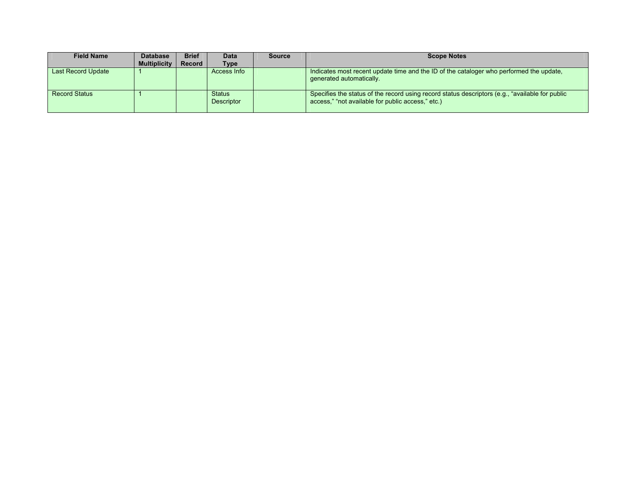| <b>Field Name</b>    | <b>Database</b>     | <b>Brief</b> | <b>Data</b>                        | <b>Source</b> | <b>Scope Notes</b>                                                                                                                                   |
|----------------------|---------------------|--------------|------------------------------------|---------------|------------------------------------------------------------------------------------------------------------------------------------------------------|
|                      | <b>Multiplicity</b> | Record       | Type                               |               |                                                                                                                                                      |
| Last Record Update   |                     |              | Access Info                        |               | Indicates most recent update time and the ID of the cataloger who performed the update.<br>generated automatically.                                  |
| <b>Record Status</b> |                     |              | <b>Status</b><br><b>Descriptor</b> |               | Specifies the status of the record using record status descriptors (e.g., "available for public<br>access," "not available for public access," etc.) |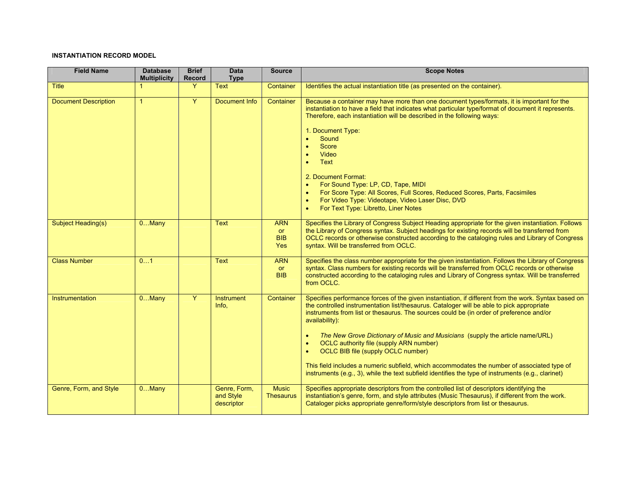## **INSTANTIATION RECORD MODEL**

| <b>Field Name</b>           | <b>Database</b><br><b>Multiplicity</b> | <b>Brief</b><br>Record | <b>Data</b><br><b>Type</b>              | <b>Source</b>                         | <b>Scope Notes</b>                                                                                                                                                                                                                                                                                                                                                                                                                                                                                                                                                                                                                                                                                              |
|-----------------------------|----------------------------------------|------------------------|-----------------------------------------|---------------------------------------|-----------------------------------------------------------------------------------------------------------------------------------------------------------------------------------------------------------------------------------------------------------------------------------------------------------------------------------------------------------------------------------------------------------------------------------------------------------------------------------------------------------------------------------------------------------------------------------------------------------------------------------------------------------------------------------------------------------------|
| <b>Title</b>                |                                        | Y                      | <b>Text</b>                             | Container                             | Identifies the actual instantiation title (as presented on the container).                                                                                                                                                                                                                                                                                                                                                                                                                                                                                                                                                                                                                                      |
| <b>Document Description</b> | $\mathbf{1}$                           | $\overline{Y}$         | <b>Document Info</b>                    | Container                             | Because a container may have more than one document types/formats, it is important for the<br>instantiation to have a field that indicates what particular type/format of document it represents.<br>Therefore, each instantiation will be described in the following ways:<br>1. Document Type:<br>Sound<br>$\bullet$<br>Score<br>Video<br>Text<br>$\bullet$<br>2. Document Format:<br>For Sound Type: LP, CD, Tape, MIDI<br>$\bullet$<br>For Score Type: All Scores, Full Scores, Reduced Scores, Parts, Facsimiles<br>For Video Type: Videotape, Video Laser Disc, DVD<br>For Text Type: Libretto, Liner Notes<br>$\bullet$                                                                                  |
| Subject Heading(s)          | $0$ Many                               |                        | Text                                    | <b>ARN</b><br>or<br><b>BIB</b><br>Yes | Specifies the Library of Congress Subject Heading appropriate for the given instantiation. Follows<br>the Library of Congress syntax. Subject headings for existing records will be transferred from<br>OCLC records or otherwise constructed according to the cataloging rules and Library of Congress<br>syntax. Will be transferred from OCLC.                                                                                                                                                                                                                                                                                                                                                               |
| <b>Class Number</b>         | 01                                     |                        | Text                                    | <b>ARN</b><br><b>or</b><br><b>BIB</b> | Specifies the class number appropriate for the given instantiation. Follows the Library of Congress<br>syntax. Class numbers for existing records will be transferred from OCLC records or otherwise<br>constructed according to the cataloging rules and Library of Congress syntax. Will be transferred<br>from OCLC.                                                                                                                                                                                                                                                                                                                                                                                         |
| Instrumentation             | $0$ Many                               | Y                      | <b>Instrument</b><br>Info,              | Container                             | Specifies performance forces of the given instantiation, if different from the work. Syntax based on<br>the controlled instrumentation list/thesaurus. Cataloger will be able to pick appropriate<br>instruments from list or thesaurus. The sources could be (in order of preference and/or<br>availability):<br>The New Grove Dictionary of Music and Musicians (supply the article name/URL)<br>OCLC authority file (supply ARN number)<br>$\bullet$<br>OCLC BIB file (supply OCLC number)<br>$\bullet$<br>This field includes a numeric subfield, which accommodates the number of associated type of<br>instruments (e.g., 3), while the text subfield identifies the type of instruments (e.g., clarinet) |
| Genre, Form, and Style      | $0$ Many                               |                        | Genre, Form,<br>and Style<br>descriptor | <b>Music</b><br><b>Thesaurus</b>      | Specifies appropriate descriptors from the controlled list of descriptors identifying the<br>instantiation's genre, form, and style attributes (Music Thesaurus), if different from the work.<br>Cataloger picks appropriate genre/form/style descriptors from list or thesaurus.                                                                                                                                                                                                                                                                                                                                                                                                                               |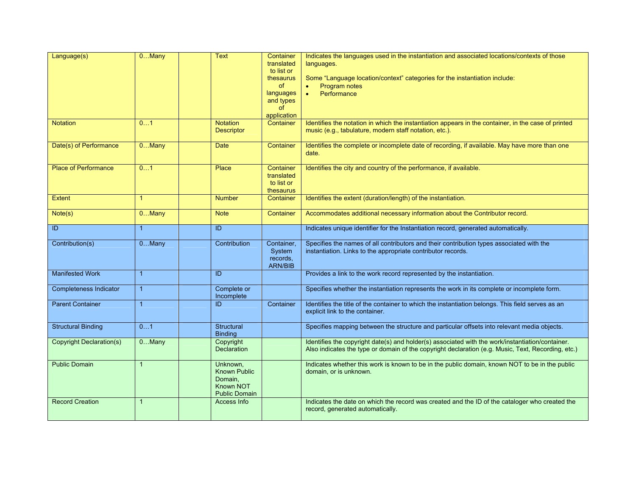| Language(s)                                    | $0$ Many     | <b>Text</b>                                                                            | Container<br>translated<br>to list or<br>thesaurus<br>of<br>languages<br>and types<br>of<br>application | Indicates the languages used in the instantiation and associated locations/contexts of those<br>languages.<br>Some "Language location/context" categories for the instantiation include:<br>Program notes<br>Performance<br>$\bullet$ |
|------------------------------------------------|--------------|----------------------------------------------------------------------------------------|---------------------------------------------------------------------------------------------------------|---------------------------------------------------------------------------------------------------------------------------------------------------------------------------------------------------------------------------------------|
| <b>Notation</b>                                | 01           | <b>Notation</b><br><b>Descriptor</b>                                                   | Container                                                                                               | Identifies the notation in which the instantiation appears in the container, in the case of printed<br>music (e.g., tabulature, modern staff notation, etc.).                                                                         |
| Date(s) of Performance                         | $0$ Many     | <b>Date</b>                                                                            | Container                                                                                               | Identifies the complete or incomplete date of recording, if available. May have more than one<br>date.                                                                                                                                |
| <b>Place of Performance</b>                    | 01           | Place                                                                                  | Container<br>translated<br>to list or<br>thesaurus                                                      | Identifies the city and country of the performance, if available.                                                                                                                                                                     |
| <b>Extent</b>                                  |              | <b>Number</b>                                                                          | Container                                                                                               | Identifies the extent (duration/length) of the instantiation.                                                                                                                                                                         |
| Note(s)                                        | $0$ Many     | <b>Note</b>                                                                            | Container                                                                                               | Accommodates additional necessary information about the Contributor record.                                                                                                                                                           |
| $\overline{D}$                                 | $\mathbf{1}$ | ID                                                                                     |                                                                                                         | Indicates unique identifier for the Instantiation record, generated automatically.                                                                                                                                                    |
| Contribution(s)                                | $0$ Many     | Contribution                                                                           | Container,<br>System<br>records.<br><b>ARN/BIB</b>                                                      | Specifies the names of all contributors and their contribution types associated with the<br>instantiation. Links to the appropriate contributor records.                                                                              |
| <b>Manifested Work</b>                         | $\mathbf{1}$ | ID                                                                                     |                                                                                                         | Provides a link to the work record represented by the instantiation.                                                                                                                                                                  |
| Completeness Indicator                         | $\mathbf{1}$ | Complete or<br>Incomplete                                                              |                                                                                                         | Specifies whether the instantiation represents the work in its complete or incomplete form.                                                                                                                                           |
| <b>Parent Container</b>                        | $\mathbf{1}$ | ID                                                                                     | Container                                                                                               | Identifies the title of the container to which the instantiation belongs. This field serves as an<br>explicit link to the container.                                                                                                  |
|                                                |              |                                                                                        |                                                                                                         |                                                                                                                                                                                                                                       |
| <b>Structural Binding</b>                      | 01           | Structural<br><b>Binding</b>                                                           |                                                                                                         | Specifies mapping between the structure and particular offsets into relevant media objects.                                                                                                                                           |
| <b>Copyright Declaration(s)</b>                | $0$ Many     | Copyright<br><b>Declaration</b>                                                        |                                                                                                         | Identifies the copyright date(s) and holder(s) associated with the work/instantiation/container.<br>Also indicates the type or domain of the copyright declaration (e.g. Music, Text, Recording, etc.)                                |
| <b>Public Domain</b><br><b>Record Creation</b> |              | Unknown,<br><b>Known Public</b><br>Domain,<br><b>Known NOT</b><br><b>Public Domain</b> |                                                                                                         | Indicates whether this work is known to be in the public domain, known NOT to be in the public<br>domain, or is unknown.<br>Indicates the date on which the record was created and the ID of the cataloger who created the            |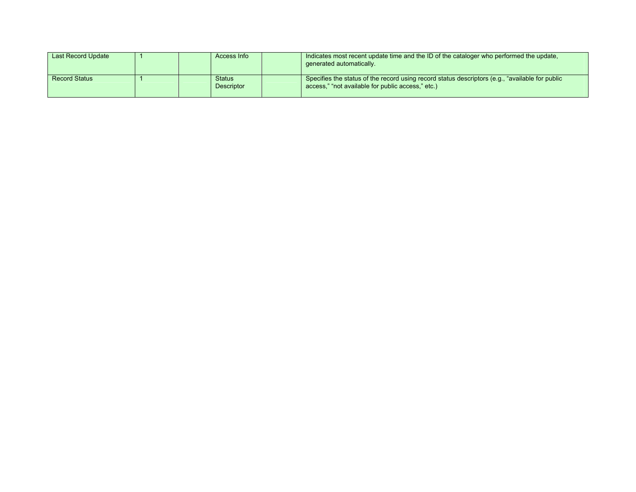| Last Record Update   |  | Access Info                        | Indicates most recent update time and the ID of the cataloger who performed the update,<br>generated automatically.                                  |
|----------------------|--|------------------------------------|------------------------------------------------------------------------------------------------------------------------------------------------------|
| <b>Record Status</b> |  | <b>Status</b><br><b>Descriptor</b> | Specifies the status of the record using record status descriptors (e.g., "available for public<br>access," "not available for public access," etc.) |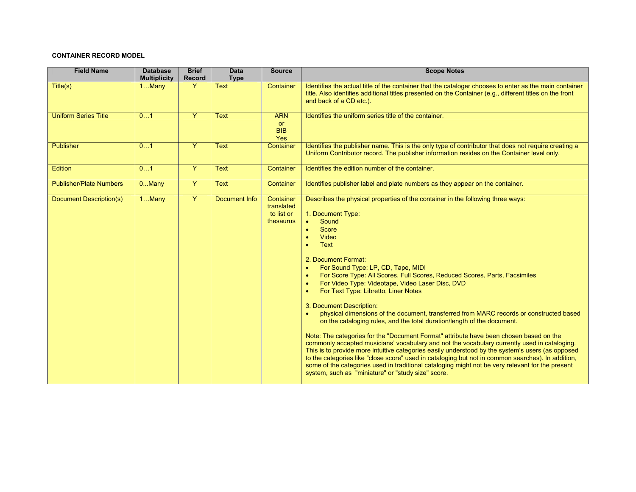## **CONTAINER RECORD MODEL**

| <b>Field Name</b>              | <b>Database</b><br><b>Multiplicity</b> | <b>Brief</b><br><b>Record</b> | <b>Data</b><br><b>Type</b> | <b>Source</b>                                      | <b>Scope Notes</b>                                                                                                                                                                                                                                                                                                                                                                                                                                                                                                                                                                                                                                                                                                                                                                                                                                                                                                                                                                                                                                                                                                                                                                                                                                                 |
|--------------------------------|----------------------------------------|-------------------------------|----------------------------|----------------------------------------------------|--------------------------------------------------------------------------------------------------------------------------------------------------------------------------------------------------------------------------------------------------------------------------------------------------------------------------------------------------------------------------------------------------------------------------------------------------------------------------------------------------------------------------------------------------------------------------------------------------------------------------------------------------------------------------------------------------------------------------------------------------------------------------------------------------------------------------------------------------------------------------------------------------------------------------------------------------------------------------------------------------------------------------------------------------------------------------------------------------------------------------------------------------------------------------------------------------------------------------------------------------------------------|
| Title(s)                       | $1$ Many                               | Y                             | <b>Text</b>                | Container                                          | Identifies the actual title of the container that the cataloger chooses to enter as the main container<br>title. Also identifies additional titles presented on the Container (e.g., different titles on the front<br>and back of a CD etc.).                                                                                                                                                                                                                                                                                                                                                                                                                                                                                                                                                                                                                                                                                                                                                                                                                                                                                                                                                                                                                      |
| <b>Uniform Series Title</b>    | 01                                     | $\overline{Y}$                | <b>Text</b>                | <b>ARN</b><br><b>or</b><br><b>BIB</b><br>Yes       | Identifies the uniform series title of the container.                                                                                                                                                                                                                                                                                                                                                                                                                                                                                                                                                                                                                                                                                                                                                                                                                                                                                                                                                                                                                                                                                                                                                                                                              |
| Publisher                      | 01                                     | Ÿ                             | <b>Text</b>                | Container                                          | Identifies the publisher name. This is the only type of contributor that does not require creating a<br>Uniform Contributor record. The publisher information resides on the Container level only.                                                                                                                                                                                                                                                                                                                                                                                                                                                                                                                                                                                                                                                                                                                                                                                                                                                                                                                                                                                                                                                                 |
| <b>Edition</b>                 | 01                                     | Y                             | <b>Text</b>                | Container                                          | Identifies the edition number of the container.                                                                                                                                                                                                                                                                                                                                                                                                                                                                                                                                                                                                                                                                                                                                                                                                                                                                                                                                                                                                                                                                                                                                                                                                                    |
| <b>Publisher/Plate Numbers</b> | $0.$ Many                              | $\overline{Y}$                | <b>Text</b>                | Container                                          | Identifies publisher label and plate numbers as they appear on the container.                                                                                                                                                                                                                                                                                                                                                                                                                                                                                                                                                                                                                                                                                                                                                                                                                                                                                                                                                                                                                                                                                                                                                                                      |
| Document Description(s)        | 1Many                                  | $\overline{Y}$                | Document Info              | Container<br>translated<br>to list or<br>thesaurus | Describes the physical properties of the container in the following three ways:<br>1. Document Type:<br>Sound<br>$\bullet$<br>Score<br>$\bullet$<br>Video<br>$\bullet$<br>Text<br>$\bullet$<br>2. Document Format:<br>For Sound Type: LP, CD, Tape, MIDI<br>$\bullet$<br>For Score Type: All Scores, Full Scores, Reduced Scores, Parts, Facsimiles<br>$\bullet$<br>For Video Type: Videotape, Video Laser Disc, DVD<br>$\bullet$<br>For Text Type: Libretto, Liner Notes<br>$\bullet$<br>3. Document Description:<br>physical dimensions of the document, transferred from MARC records or constructed based<br>$\bullet$<br>on the cataloging rules, and the total duration/length of the document.<br>Note: The categories for the "Document Format" attribute have been chosen based on the<br>commonly accepted musicians' vocabulary and not the vocabulary currently used in cataloging.<br>This is to provide more intuitive categories easily understood by the system's users (as opposed<br>to the categories like "close score" used in cataloging but not in common searches). In addition,<br>some of the categories used in traditional cataloging might not be very relevant for the present<br>system, such as "miniature" or "study size" score. |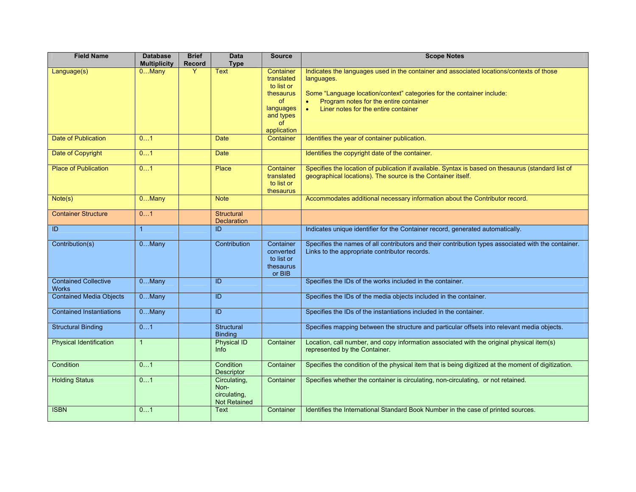| <b>Field Name</b>                           | <b>Database</b><br><b>Multiplicity</b> | <b>Brief</b><br><b>Record</b> | <b>Data</b><br><b>Type</b>                                  | <b>Source</b>                                                                                                  | <b>Scope Notes</b>                                                                                                                                                                                                                                                                           |
|---------------------------------------------|----------------------------------------|-------------------------------|-------------------------------------------------------------|----------------------------------------------------------------------------------------------------------------|----------------------------------------------------------------------------------------------------------------------------------------------------------------------------------------------------------------------------------------------------------------------------------------------|
| Language(s)                                 | $0$ Many                               | Y                             | <b>Text</b>                                                 | Container<br>translated<br>to list or<br>thesaurus<br><b>of</b><br>languages<br>and types<br>of<br>application | Indicates the languages used in the container and associated locations/contexts of those<br>languages.<br>Some "Language location/context" categories for the container include:<br>Program notes for the entire container<br>$\bullet$<br>Liner notes for the entire container<br>$\bullet$ |
| Date of Publication                         | 01                                     |                               | <b>Date</b>                                                 | Container                                                                                                      | Identifies the year of container publication.                                                                                                                                                                                                                                                |
| Date of Copyright                           | 01                                     |                               | <b>Date</b>                                                 |                                                                                                                | Identifies the copyright date of the container.                                                                                                                                                                                                                                              |
| <b>Place of Publication</b>                 | 01                                     |                               | Place                                                       | Container<br>translated<br>to list or<br>thesaurus                                                             | Specifies the location of publication if available. Syntax is based on thesaurus (standard list of<br>geographical locations). The source is the Container itself.                                                                                                                           |
| Note(s)                                     | 0Many                                  |                               | <b>Note</b>                                                 |                                                                                                                | Accommodates additional necessary information about the Contributor record.                                                                                                                                                                                                                  |
| <b>Container Structure</b>                  | 01                                     |                               | <b>Structural</b><br><b>Declaration</b>                     |                                                                                                                |                                                                                                                                                                                                                                                                                              |
| $\overline{D}$                              | $\mathbf{1}$                           |                               | ID                                                          |                                                                                                                | Indicates unique identifier for the Container record, generated automatically.                                                                                                                                                                                                               |
| Contribution(s)                             | $0$ Many                               |                               | Contribution                                                | Container<br>converted<br>to list or<br>thesaurus<br>or BIB                                                    | Specifies the names of all contributors and their contribution types associated with the container.<br>Links to the appropriate contributor records.                                                                                                                                         |
| <b>Contained Collective</b><br><b>Works</b> | $0$ Many                               |                               | ID                                                          |                                                                                                                | Specifies the IDs of the works included in the container.                                                                                                                                                                                                                                    |
| <b>Contained Media Objects</b>              | $0$ Many                               |                               | ID                                                          |                                                                                                                | Specifies the IDs of the media objects included in the container.                                                                                                                                                                                                                            |
| <b>Contained Instantiations</b>             | $0$ Many                               |                               | ID                                                          |                                                                                                                | Specifies the IDs of the instantiations included in the container.                                                                                                                                                                                                                           |
| <b>Structural Binding</b>                   | 01                                     |                               | <b>Structural</b><br><b>Binding</b>                         |                                                                                                                | Specifies mapping between the structure and particular offsets into relevant media objects.                                                                                                                                                                                                  |
| <b>Physical Identification</b>              | $\mathbf{1}$                           |                               | Physical ID<br><b>Info</b>                                  | Container                                                                                                      | Location, call number, and copy information associated with the original physical item(s)<br>represented by the Container.                                                                                                                                                                   |
| <b>Condition</b>                            | 01                                     |                               | Condition<br>Descriptor                                     | Container                                                                                                      | Specifies the condition of the physical item that is being digitized at the moment of digitization.                                                                                                                                                                                          |
| <b>Holding Status</b>                       | 01                                     |                               | Circulating,<br>Non-<br>circulating,<br><b>Not Retained</b> | Container                                                                                                      | Specifies whether the container is circulating, non-circulating, or not retained.                                                                                                                                                                                                            |
| <b>ISBN</b>                                 | 01                                     |                               | Text                                                        | Container                                                                                                      | Identifies the International Standard Book Number in the case of printed sources.                                                                                                                                                                                                            |